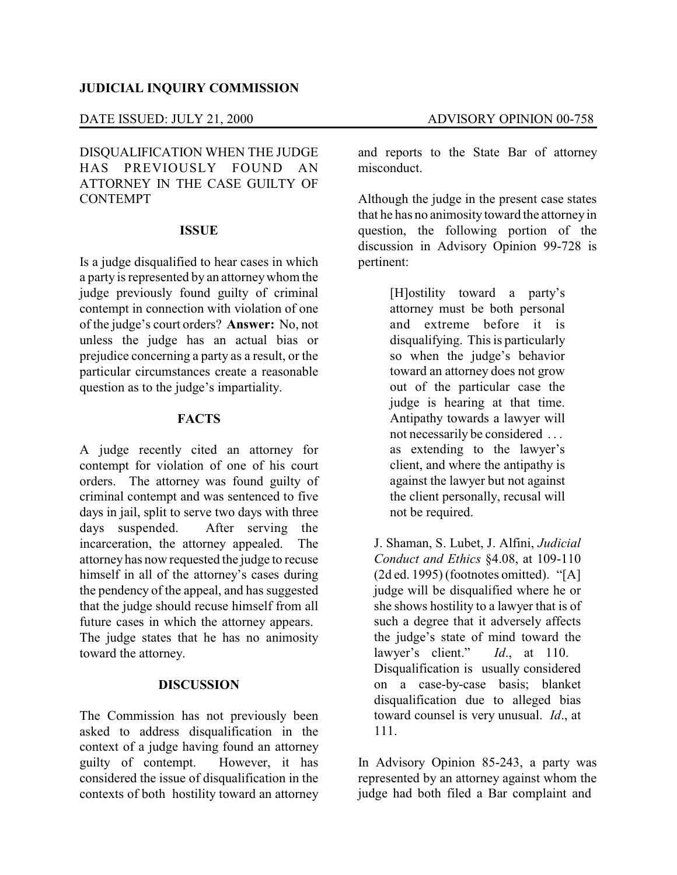## **JUDICIAL INQUIRY COMMISSION**

### DATE ISSUED: JULY 21, 2000 ADVISORY OPINION 00-758

DISQUALIFICATION WHEN THE JUDGE HAS PREVIOUSLY FOUND AN ATTORNEY IN THE CASE GUILTY OF CONTEMPT

#### **ISSUE**

Is a judge disqualified to hear cases in which a party is represented by an attorneywhom the judge previously found guilty of criminal contempt in connection with violation of one of the judge's court orders? **Answer:** No, not unless the judge has an actual bias or prejudice concerning a party as a result, or the particular circumstances create a reasonable question as to the judge's impartiality.

## **FACTS**

A judge recently cited an attorney for contempt for violation of one of his court orders. The attorney was found guilty of criminal contempt and was sentenced to five days in jail, split to serve two days with three days suspended. After serving the incarceration, the attorney appealed. The attorneyhas now requested the judge to recuse himself in all of the attorney's cases during the pendency of the appeal, and has suggested that the judge should recuse himself from all future cases in which the attorney appears. The judge states that he has no animosity toward the attorney.

#### **DISCUSSION**

The Commission has not previously been asked to address disqualification in the context of a judge having found an attorney guilty of contempt. However, it has considered the issue of disqualification in the contexts of both hostility toward an attorney

and reports to the State Bar of attorney misconduct.

Although the judge in the present case states that he has no animosity toward the attorney in question, the following portion of the discussion in Advisory Opinion 99-728 is pertinent:

> [H]ostility toward a party's attorney must be both personal and extreme before it is disqualifying. This is particularly so when the judge's behavior toward an attorney does not grow out of the particular case the judge is hearing at that time. Antipathy towards a lawyer will not necessarily be considered . . . as extending to the lawyer's client, and where the antipathy is against the lawyer but not against the client personally, recusal will not be required.

J. Shaman, S. Lubet, J. Alfini, *Judicial Conduct and Ethics* §4.08, at 109-110 (2d ed. 1995) (footnotes omitted). "[A] judge will be disqualified where he or she shows hostility to a lawyer that is of such a degree that it adversely affects the judge's state of mind toward the lawyer's client." *Id*., at 110. Disqualification is usually considered on a case-by-case basis; blanket disqualification due to alleged bias toward counsel is very unusual. *Id*., at 111.

In Advisory Opinion 85-243, a party was represented by an attorney against whom the judge had both filed a Bar complaint and